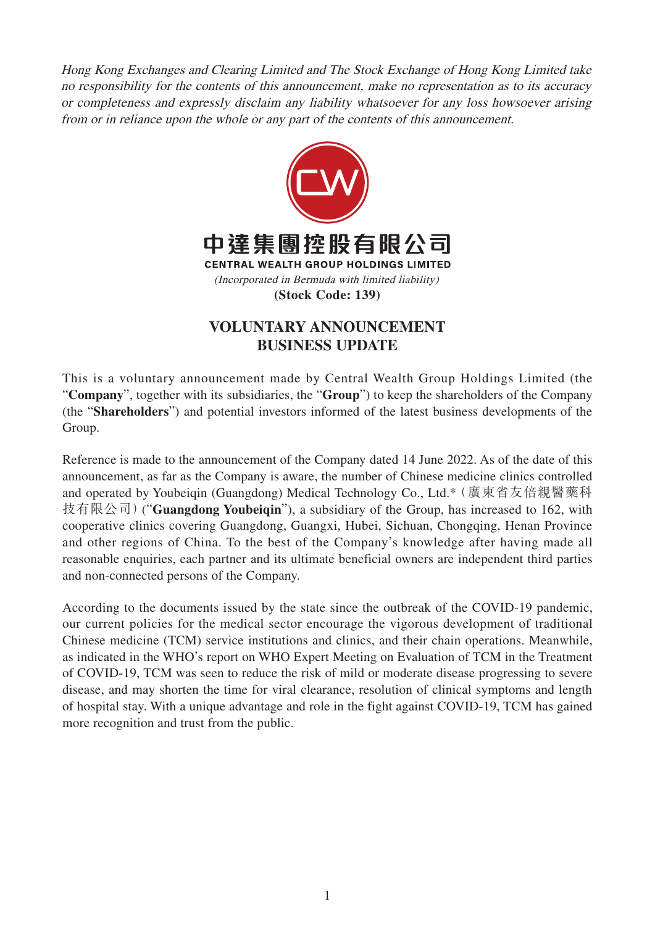Hong Kong Exchanges and Clearing Limited and The Stock Exchange of Hong Kong Limited take no responsibility for the contents of this announcement, make no representation as to its accuracy or completeness and expressly disclaim any liability whatsoever for any loss howsoever arising from or in reliance upon the whole or any part of the contents of this announcement.



## **VOLUNTARY ANNOUNCEMENT BUSINESS UPDATE**

This is a voluntary announcement made by Central Wealth Group Holdings Limited (the "**Company**", together with its subsidiaries, the "**Group**") to keep the shareholders of the Company (the "**Shareholders**") and potential investors informed of the latest business developments of the Group.

Reference is made to the announcement of the Company dated 14 June 2022. As of the date of this announcement, as far as the Company is aware, the number of Chinese medicine clinics controlled and operated by Youbeiqin (Guangdong) Medical Technology Co., Ltd.\*(廣東省友倍親醫藥科 技有限公司)("**Guangdong Youbeiqin**"), a subsidiary of the Group, has increased to 162, with cooperative clinics covering Guangdong, Guangxi, Hubei, Sichuan, Chongqing, Henan Province and other regions of China. To the best of the Company's knowledge after having made all reasonable enquiries, each partner and its ultimate beneficial owners are independent third parties and non-connected persons of the Company.

According to the documents issued by the state since the outbreak of the COVID-19 pandemic, our current policies for the medical sector encourage the vigorous development of traditional Chinese medicine (TCM) service institutions and clinics, and their chain operations. Meanwhile, as indicated in the WHO's report on WHO Expert Meeting on Evaluation of TCM in the Treatment of COVID-19, TCM was seen to reduce the risk of mild or moderate disease progressing to severe disease, and may shorten the time for viral clearance, resolution of clinical symptoms and length of hospital stay. With a unique advantage and role in the fight against COVID-19, TCM has gained more recognition and trust from the public.